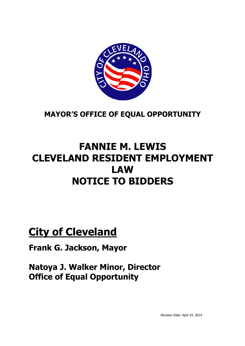

**MAYOR'S OFFICE OF EQUAL OPPORTUNITY**

## **FANNIE M. LEWIS CLEVELAND RESIDENT EMPLOYMENT LAW NOTICE TO BIDDERS**

# **City of Cleveland**

**Frank G. Jackson, Mayor**

**Natoya J. Walker Minor, Director Office of Equal Opportunity**

Revision Date: April 24, 2014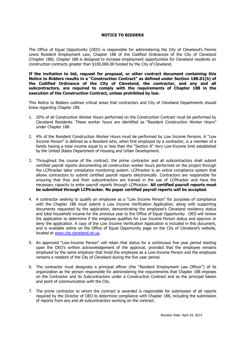### **NOTICE TO BIDDERS**

The Office of Equal Opportunity (OEO) is responsible for administering the City of Cleveland's Fannie Lewis Resident Employment Law, Chapter 188 of the Codified Ordinances of the City of Cleveland (Chapter 188). Chapter 188 is designed to increase employment opportunities for Cleveland residents on construction contracts greater than \$100,000.00 funded by the City of Cleveland.

**If the invitation to bid, request for proposal, or other contract document containing this Notice to Bidders results in a "Construction Contract" as defined under Section 188.01(b) of the Codified Ordinance of the City of Cleveland, the contractor, and any and all subcontractors, are required to comply with the requirements of Chapter 188 in the execution of the Construction Contract, unless prohibited by law.**

This Notice to Bidders outlines critical areas that contractors and City of Cleveland Departments should know regarding Chapter 188.

- 1. 20% of all Construction Worker Hours performed on the Construction Contract must be performed by Cleveland Residents. These worker hours are identified as "Resident Construction Worker Hours" under Chapter 188.
- 2. 4% of the Resident Construction Worker Hours must be performed by Low Income Persons. A "Low Income Person" is defined as a Resident who, when first employed by a contractor, is a member of a family having a total income equal to or less than the "Section 8" Very Low-Income limit established by the United States Department of Housing and Urban Development.
- 3. Throughout the course of the contract, the prime contractor and all subcontractors shall submit certified payroll reports documenting all construction worker hours performed on the project through the LCPtracker labor compliance monitoring system. LCPtracker is an online compliance system that allows contractors to submit certified payroll reports electronically. Contractors are responsible for ensuring that they and their subcontractors are trained in the use of LCPtracker and have the necessary capacity to enter payroll reports through LCPtracker. **All certified payroll reports must be submitted through LCPtracker. No paper certified payroll reports will be accepted.**
- 4. A contractor seeking to qualify an employee as a "Low Income Person" for purposes of compliance with the Chapter 188 must submit a Low Income Verification Application, along with supporting documents requested by the application, demonstrating the employee's Cleveland residency status and total household income for the previous year to the Office of Equal Opportunity. OEO will review the application to determine if the employee qualifies for Low Income Person status and approve or deny the application. A copy of the Low Income Verification Application is included in this document, and is available online on the Office of Equal Opportunity page on the City of Cleveland's website, located at www.city.cleveland.oh.us.
- 5. An approved "Low-Income Person" will retain that status for a continuous five year period starting upon the OEO's written acknowledgement of the approval, provided that the employee remains employed by the same employer that hired the employee as a Low-Income Person and the employee remains a resident of the City of Cleveland during the five year period.
- 6. The contractor must designate a principal officer (the "Resident Employment Law Officer") of its organization as the person responsible for administering the requirements that Chapter 188 imposes on the Contractor and its Subcontractors under a Construction Contract and as the principal liaison and point of communication with the City.
- 7. The prime contractor to whom the contract is awarded is responsible for submission of all reports required by the Director of OEO to determine compliance with Chapter 188, including the submission of reports from any and all subcontractors working on the contract.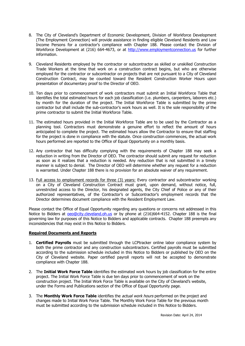- 8. The City of Cleveland's Department of Economic Development, Division of Workforce Development (The Employment Connection) will provide assistance in finding eligible Cleveland Residents and Low Income Persons for a contractor's compliance with Chapter 188. Please contact the Division of Workforce Development at (216) 664-4673, or at http://www.employmentconnection.us for further information.
- 9. Cleveland Residents employed by the contractor or subcontractor as skilled or unskilled Construction Trade Workers at the time that work on a construction contract begins, but who are otherwise employed for the contractor or subcontractor on projects that are not pursuant to a City of Cleveland Construction Contract, may be counted toward the Resident Construction Worker Hours upon presentation of documentary proof to the Director of OEO.
- 10. Ten days prior to commencement of work contractors must submit an Initial Workforce Table that identifies the total estimated hours for each job classification (i.e. plumbers, carpenters, laborers etc.) by month for the duration of the project. The Initial Workforce Table is submitted by the prime contractor but shall include the sub-contractor's work hours as well. It is the sole responsibility of the prime contractor to submit the Initial Workforce Table.
- 11. The estimated hours provided in the Initial Workforce Table are to be used by the Contractor as a planning tool. Contractors must demonstrate a genuine effort to reflect the amount of hours anticipated to complete the project. The estimated hours allow the Contractor to ensure that staffing for the project is done in compliance with the statute. Once construction commences, the actual work hours performed are reported to the Office of Equal Opportunity on a monthly basis.
- 12. Any contractor that has difficulty complying with the requirements of Chapter 188 may seek a reduction in writing from the Director of OEO. The contractor should submit any request for reduction as soon as it realizes that a reduction is needed. Any reduction that is not submitted in a timely manner is subject to denial. The Director of OEO will determine whether any request for a reduction is warranted. Under Chapter 188 there is no provision for an absolute waiver of any requirement.
- 13. Full access to employment records for three (3) years: Every contractor and subcontractor working on a City of Cleveland Construction Contract must grant, upon demand, without notice, full, unrestricted access to the Director, his designated agents, the City Chief of Police or any of their authorized representatives, of the Contractor's or Subcontractor's employment records that the Director determines document compliance with the Resident Employment Law.

Please contact the Office of Equal Opportunity regarding any questions or concerns not addressed in this Notice to Bidders at oeo@city.cleveland.oh.us or by phone at (216)664-4152. Chapter 188 is the final governing law for purposes of this Notice to Bidders and applicable contracts. Chapter 188 preempts any inconsistencies that may exist in this Notice to Bidders.

### **Required Documents and Reports**

- 1. **Certified Payrolls** must be submitted through the LCPtracker online labor compliance system by both the prime contractor and any construction subcontractors. Certified payrolls must be submitted according to the submission schedule included in this Notice to Bidders or published by OEO on the City of Cleveland website. Paper certified payroll reports will not be accepted to demonstrate compliance with Chapter 188.
- 2. The **Initial Work Force Table** identifies the estimated work hours by job classification for the entire project. The Initial Work Force Table is due ten days prior to commencement of work on the construction project. The Initial Work Force Table is available on the City of Cleveland's website, under the Forms and Publications section of the Office of Equal Opportunity page.
- 3. The **Monthly Work Force Table** identifies the actual work hours performed on the project and changes made to Initial Work Force Table. The Monthly Work Force Table for the previous month must be submitted according to the submission schedule included in this Notice to Bidders.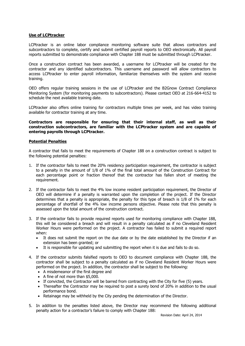### **Use of LCPtracker**

LCPtracker is an online labor compliance monitoring software suite that allows contractors and subcontractors to complete, certify and submit certified payroll reports to OEO electronically. All payroll reports submitted to demonstrate compliance with Chapter 188 must be submitted through LCPtracker.

Once a construction contract has been awarded, a username for LCPtracker will be created for the contractor and any identified subcontractors. This username and password will allow contractors to access LCPtracker to enter payroll information, familiarize themselves with the system and receive training.

OEO offers regular training sessions in the use of LCPtracker and the B2Gnow Contract Compliance Monitoring System (for monitoring payments to subcontractors). Please contact OEO at 216-664-4152 to schedule the next available training date.

LCPtracker also offers online training for contractors multiple times per week, and has video training available for contractor training at any time.

**Contractors are responsible for ensuring that their internal staff, as well as their construction subcontractors, are familiar with the LCPtracker system and are capable of entering payrolls through LCPtracker.**

### **Potential Penalties**

A contractor that fails to meet the requirements of Chapter 188 on a construction contract is subject to the following potential penalties:

- 1. If the contractor fails to meet the 20% residency participation requirement, the contractor is subject to a penalty in the amount of 1/8 of 1% of the final total amount of the Construction Contract for each percentage point or fraction thereof that the contractor has fallen short of meeting the requirement.
- 2. If the contractor fails to meet the 4% low income resident participation requirement, the Director of OEO will determine if a penalty is warranted upon the completion of the project. If the Director determines that a penalty is appropriate, the penalty for this type of breach is 1/8 of 1% for each percentage of shortfall of the 4% low income persons objective. Please note that this penalty is assessed upon the total amount of the construction contract.
- 3. If the contractor fails to provide required reports used for monitoring compliance with Chapter 188, this will be considered a breach and will result in a penalty calculated as if no Cleveland Resident Worker Hours were performed on the project. A contractor has failed to submit a required report when:
	- It does not submit the report on the due date or by the date established by the Director if an extension has been granted; or
	- It is responsible for updating and submitting the report when it is due and fails to do so.
- 4. If the contractor submits falsified reports to OEO to document compliance with Chapter 188, the contractor shall be subject to a penalty calculated as if no Cleveland Resident Worker Hours were performed on the project. In addition, the contractor shall be subject to the following:
	- A misdemeanor of the first degree and
	- A fine of not more than \$5,000.
	- $\bullet$  If convicted, the Contractor will be barred from contracting with the City for five (5) years.
	- Thereafter the Contractor may be required to post a surety bond of 20% in addition to the usual performance bond.
	- Retainage may be withheld by the City pending the determination of the Director.
- 5. In addition to the penalties listed above, the Director may recommend the following additional penalty action for a contractor's failure to comply with Chapter 188: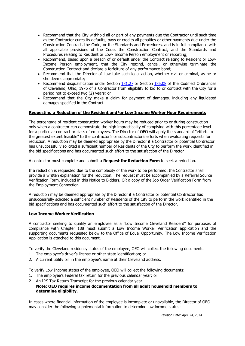- Recommend that the City withhold all or part of any payments due the Contractor until such time as the Contractor cures its defaults, pays or credits all penalties or other payments due under the Construction Contract, the Code, or the Standards and Procedures, and is in full compliance with all applicable provisions of the Code, the Construction Contract, and the Standards and Procedures relating to Resident or Low- Income Person employment or reporting;
- Recommend, based upon a breach of or default under the Contract relating to Resident or Low-Income Person employment, that the City rescind, cancel, or otherwise terminate the Construction Contract and declare a forfeiture of any performance bond;
- Recommend that the Director of Law take such legal action, whether civil or criminal, as he or she deems appropriate;
- Recommend disqualification under Section 181.27 or Section 185.08 of the Codified Ordinances of Cleveland, Ohio, 1976 of a Contractor from eligibility to bid to or contract with the City for a period not to exceed two (2) years; or
- Recommend that the City make a claim for payment of damages, including any liquidated damages specified in the Contract.

### **Requesting a Reduction of the Resident and/or Low Income Worker Hour Requirements**

The percentage of resident construction worker hours may be reduced prior to or during construction only when a contractor can demonstrate the high impracticality of complying with this percentage level for a particular contract or class of employees. The Director of OEO will apply the standard of "efforts to the greatest extent feasible" to the contractor's or subcontractor's efforts when evaluating requests for reduction. A reduction may be deemed appropriate by the Director if a Contractor or potential Contractor has unsuccessfully solicited a sufficient number of Residents of the City to perform the work identified in the bid specifications and has documented such effort to the satisfaction of the Director

A contractor must complete and submit a **Request for Reduction Form** to seek a reduction.

If a reduction is requested due to the complexity of the work to be performed, the Contractor shall provide a written explanation for the reduction. The request must be accompanied by a Referral Source Verification Form, included in this Notice to Bidders, OR a copy of the Job Order Verification Form from the Employment Connection.

A reduction may be deemed appropriate by the Director if a Contractor or potential Contractor has unsuccessfully solicited a sufficient number of Residents of the City to perform the work identified in the bid specifications and has documented such effort to the satisfaction of the Director.

#### **Low Income Worker Verification**

A contractor seeking to qualify an employee as a "Low Income Cleveland Resident" for purposes of compliance with Chapter 188 must submit a Low Income Worker Verification application and the supporting documents requested below to the Office of Equal Opportunity. The Low Income Verification Application is attached to this document.

To verify the Cleveland residency status of the employee, OEO will collect the following documents:

- 1. The employee's driver's license or other state identification; or
- 2. A current utility bill in the employee's name at their Cleveland address.

To verify Low Income status of the employee, OEO will collect the following documents:

- 1. The employee's Federal tax return for the previous calendar year; or
- 2. An IRS Tax Return Transcript for the previous calendar year.

### **Note: OEO requires income documentation from all adult household members to determine eligibility.**

In cases where financial information of the employee is incomplete or unavailable, the Director of OEO may consider the following supplemental information to determine low income status: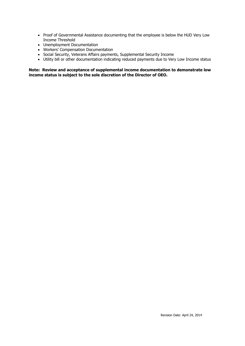- Proof of Governmental Assistance documenting that the employee is below the HUD Very Low Income Threshold
- Unemployment Documentation
- Workers' Compensation Documentation
- Social Security, Veterans Affairs payments, Supplemental Security Income
- Utility bill or other documentation indicating reduced payments due to Very Low Income status

**Note: Review and acceptance of supplemental income documentation to demonstrate low income status is subject to the sole discretion of the Director of OEO.**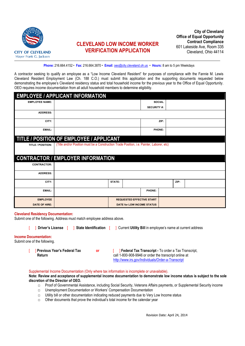

### **CLEVELAND LOW INCOME WORKER VERIFICATION APPLICATION**

**Phone:** 216.664.4152 **Fax:** 216.664.3870 **Email**: oeo@city.cleveland.oh.us **Hours:** 8 am to 5 pm Weekdays

A contractor seeking to qualify an employee as a "Low Income Cleveland Resident" for purposes of compliance with the Fannie M. Lewis Cleveland Resident Employment Law (Ch. 188 C.O.) must submit this application and the supporting documents requested below demonstrating the employee's Cleveland residency status and total household income for the previous year to the Office of Equal Opportunity. OEO requires income documentation from all adult household members to determine eligibility.

|                       | <b>EMPLOYEE / APPLICANT INFORMATION</b>                                                   |        |                            |                    |      |      |  |
|-----------------------|-------------------------------------------------------------------------------------------|--------|----------------------------|--------------------|------|------|--|
| <b>EMPLOYEE NAME:</b> |                                                                                           |        |                            | <b>SOCIAL</b>      |      |      |  |
|                       |                                                                                           |        |                            | <b>SECURITY #:</b> |      |      |  |
| <b>ADDRESS:</b>       |                                                                                           |        |                            |                    |      |      |  |
| CITY:                 |                                                                                           |        |                            |                    | ZIP: |      |  |
| <b>EMAIL:</b>         |                                                                                           |        |                            | <b>PHONE:</b>      |      |      |  |
|                       | <b>TITLE / POSITION OF EMPLOYEE / APPLICANT</b>                                           |        |                            |                    |      |      |  |
| TITLE / POSITION:     | (Title and/or Position must be a Construction Trade Position, i.e. Painter, Laborer, etc) |        |                            |                    |      |      |  |
|                       |                                                                                           |        |                            |                    |      |      |  |
|                       | CONTRACTOR / EMPLOYER INFORMATION                                                         |        |                            |                    |      |      |  |
| <b>CONTRACTOR:</b>    |                                                                                           |        |                            |                    |      |      |  |
| <b>ADDRESS:</b>       |                                                                                           |        |                            |                    |      |      |  |
| CITY:                 |                                                                                           | STATE: |                            |                    |      | ZIP: |  |
| EMAIL:                |                                                                                           |        |                            | PHONE:             |      |      |  |
| <b>EMPLOYEE</b>       | <b>REQUESTED EFFECTIVE START</b>                                                          |        |                            |                    |      |      |  |
| <b>DATE OF HIRE:</b>  |                                                                                           |        | DATE for LOW INCOME STATUS |                    |      |      |  |

#### **Cleveland Residency Documentation:**

Submit one of the following. Address must match employee address above.

[ ] **Driver's License** [ ] **State Identification** [ ] Current **Utility Bill** in employee's name at current address

#### **Income Documentation:**

Submit one of the following.

[ ] **Previous Year's Federal Tax Return**

**or Figure 1 | Federal Tax Transcript -** To order a Tax Transcript, call 1-800-908-9946 or order the transcript online at http://www.irs.gov/Individuals/Order-a-Transcript

#### Supplemental Income Documentation (Only where tax information is incomplete or unavailable).

**Note: Review and acceptance of supplemental income documentation to demonstrate low income status is subject to the sole discretion of the Director of OEO.**

- □ Proof of Governmental Assistance, including Social Security, Veterans Affairs payments, or Supplemental Security income
- □ Unemployment Documentation or Workers' Compensation Documentation
- $\Box$  Utility bill or other documentation indicating reduced payments due to Very Low Income status
- $\Box$  Other documents that prove the individual's total income for the calendar year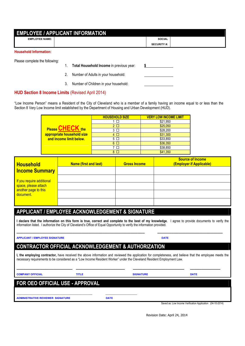| <b>EMPLOYEE / APPLICANT INFORMATION</b> |                    |               |  |  |  |
|-----------------------------------------|--------------------|---------------|--|--|--|
| <b>EMPLOYEE NAME:</b>                   |                    | <b>SOCIAL</b> |  |  |  |
|                                         | <b>SECURITY #:</b> |               |  |  |  |
| <b>Household Information:</b>           |                    |               |  |  |  |

Please complete the following:

- 1. **Total Household Income** in previous year:
- 2. Number of Adults in your household:
- 3. Number of Children in your household:

### **HUD Section 8 Income Limits** (Revised April 2014)

"Low Income Person" means a Resident of the City of Cleveland who is a member of a family having an income equal to or less than the Section 8 Very Low Income limit established by the Department of Housing and Urban Development (HUD).

|                            | <b>HOUSEHOLD SIZE</b> | <b>VERY LOW INCOME LIMIT</b> |
|----------------------------|-----------------------|------------------------------|
|                            |                       | \$21,950                     |
|                            | $2\Box$               | \$25,050                     |
| <b>Please CHECK the</b>    | 3<br>$\Box$           | \$28,200                     |
| appropriate household size | $\Box$                | \$31,300                     |
| and income limit below.    | $5\Box$               | \$33,850                     |
|                            | $6\Box$               | \$36,350                     |
|                            |                       | \$38,850                     |
|                            |                       | \$41,350                     |

| <b>Household</b><br><b>Income Summary</b>                                 | Name (first and last) | <b>Gross Income</b> | <b>Source of Income</b><br>(Employer if Applicable) |
|---------------------------------------------------------------------------|-----------------------|---------------------|-----------------------------------------------------|
| If you require additional<br>space, please attach<br>another page to this |                       |                     |                                                     |
|                                                                           |                       |                     |                                                     |
| document.                                                                 |                       |                     |                                                     |
|                                                                           |                       |                     |                                                     |

### **APPLICANT / EMPLOYEE ACKNOWLEDGEMENT & SIGNATURE**

**I declare that the information on this form is true, correct and complete to the best of my knowledge**. I agree to provide documents to verify the information listed. I authorize the City of Cleveland's Office of Equal Opportunity to verify the information provided.

**\_\_\_\_\_\_\_\_\_\_\_\_\_\_\_\_\_\_\_\_\_\_\_\_\_\_\_\_\_\_\_\_\_\_\_\_\_\_\_\_\_\_\_\_\_\_\_\_\_\_\_\_\_\_\_ \_\_\_\_\_\_\_\_\_\_\_\_\_\_\_\_\_\_\_\_\_\_\_\_\_\_\_\_**

#### **APPLICANT / EMPLOYEE SIGNATURE DATE**

### **CONTRACTOR OFFICIAL ACKNOWLEDGEMENT & AUTHORIZATION**

**I, the employing contractor,** have received the above information and reviewed the application for completeness, and believe that the employee meets the necessary requirements to be considered as a "Low Income Resident Worker" under the Cleveland Resident Employment Law.

| <b>COMPANY OFFICIAL</b>                  | <b>TITLE</b> |             | <b>SIGNATURE</b> | <b>DATE</b> |  |  |  |  |
|------------------------------------------|--------------|-------------|------------------|-------------|--|--|--|--|
| <b>FOR OEO OFFICIAL USE - APPROVAL</b>   |              |             |                  |             |  |  |  |  |
|                                          |              |             |                  |             |  |  |  |  |
| <b>ADMINISTRATIVE REVIEWER SIGNATURE</b> |              | <b>DATE</b> |                  |             |  |  |  |  |

Saved as: Low Income Verification Application (04-10-2014)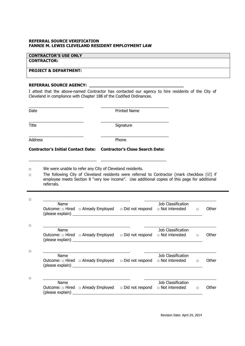### **REFERRAL SOURCE VERIFICATION FANNIE M. LEWIS CLEVELAND RESIDENT EMPLOYMENT LAW**

### **CONTRACTOR'S USE ONLY**

### **CONTRACTOR:**

### **PROJECT & DEPARTMENT:**

### REFERRAL SOURCE AGENCY:

I attest that the above-named Contractor has contacted our agency to hire residents of the City of Cleveland in compliance with Chapter 188 of the Codified Ordinances.

| Date             |                                                                                                                                                                                                                                                                                  |  | <b>Printed Name</b> |                              |       |
|------------------|----------------------------------------------------------------------------------------------------------------------------------------------------------------------------------------------------------------------------------------------------------------------------------|--|---------------------|------------------------------|-------|
| Title            |                                                                                                                                                                                                                                                                                  |  | Signature           |                              |       |
| Address          |                                                                                                                                                                                                                                                                                  |  | Phone               |                              |       |
|                  | Contractor's Initial Contact Date: Contractor's Close Search Date:                                                                                                                                                                                                               |  |                     |                              |       |
| $\Box$<br>$\Box$ | We were unable to refer any City of Cleveland residents.<br>The following City of Cleveland residents were referred to Contractor (mark checkbox $(\boxtimes)$ if<br>employee meets Section 8 "very low income". Use additional copies of this page for additional<br>referrals. |  |                     |                              |       |
| $\Box$           |                                                                                                                                                                                                                                                                                  |  |                     |                              |       |
|                  | Name<br>Outcome: $\Box$ Hired $\Box$ Already Employed $\Box$ Did not respond $\Box$ Not interested $\Box$                                                                                                                                                                        |  |                     | Job Classification           | Other |
| $\Box$           |                                                                                                                                                                                                                                                                                  |  |                     |                              |       |
|                  | Name<br>Outcome: $\Box$ Hired $\Box$ Already Employed $\Box$ Did not respond $\Box$ Not interested $\Box$                                                                                                                                                                        |  |                     | Job Classification           | Other |
| $\Box$           |                                                                                                                                                                                                                                                                                  |  |                     | Job Classification           |       |
|                  | Name<br>Outcome: $\Box$ Hired $\Box$ Already Employed $\Box$ Did not respond $\Box$ Not interested $\Box$                                                                                                                                                                        |  |                     |                              | Other |
| $\Box$           | Name                                                                                                                                                                                                                                                                             |  |                     | Job Classification           |       |
|                  | Outcome: $\Box$ Hired $\Box$ Already Employed $\Box$ Did not respond                                                                                                                                                                                                             |  |                     | $\Box$ Not interested $\Box$ | Other |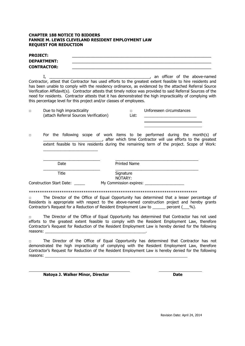### **CHAPTER 188 NOTICE TO BIDDERS FANNIE M. LEWIS CLEVELAND RESIDENT EMPLOYMENT LAW REQUEST FOR REDUCTION**

| <b>PROJECT:</b> | <b>DEPARTMENT:</b><br><b>CONTRACTOR:</b>        |                                                                     |                      |                                                                                                                                                                                                                                                                                                                                                                                                                                                                                  |
|-----------------|-------------------------------------------------|---------------------------------------------------------------------|----------------------|----------------------------------------------------------------------------------------------------------------------------------------------------------------------------------------------------------------------------------------------------------------------------------------------------------------------------------------------------------------------------------------------------------------------------------------------------------------------------------|
|                 | $I_{\prime}$                                    | this percentage level for this project and/or classes of employees. |                      | an officer of the above-named<br>Contractor, attest that Contractor has used efforts to the greatest extent feasible to hire residents and<br>has been unable to comply with the residency ordinance, as evidenced by the attached Referral Source<br>Verification Affidavit(s). Contractor attests that timely notice was provided to said Referral Sources of the<br>need for residents. Contractor attests that it has demonstrated the high impracticality of complying with |
| $\Box$          | Due to high impracticality                      | (attach Referral Sources Verification)                              | $\Box$<br>List:      | Unforeseen circumstances                                                                                                                                                                                                                                                                                                                                                                                                                                                         |
| $\Box$          |                                                 |                                                                     |                      | For the following scope of work items to be performed during the month(s) of<br>___, after which time Contractor will use efforts to the greatest<br>extent feasible to hire residents during the remaining term of the project. Scope of Work:                                                                                                                                                                                                                                  |
|                 | Date                                            |                                                                     | Printed Name         |                                                                                                                                                                                                                                                                                                                                                                                                                                                                                  |
|                 | <b>Title</b><br><b>Construction Start Date:</b> |                                                                     | Signature<br>NOTARY: |                                                                                                                                                                                                                                                                                                                                                                                                                                                                                  |
|                 |                                                 |                                                                     |                      |                                                                                                                                                                                                                                                                                                                                                                                                                                                                                  |
| □               |                                                 |                                                                     |                      | The Director of the Office of Equal Opportunity has determined that a lesser percentage of<br>Residents is appropriate with respect to the above-named construction project and hereby grants<br>Contractor's Request for a Reduction of Resident Employment Law to ______ percent (___%).                                                                                                                                                                                       |
| □<br>reasons:   |                                                 |                                                                     |                      | The Director of the Office of Equal Opportunity has determined that Contractor has not used<br>efforts to the greatest extent feasible to comply with the Resident Employment Law, therefore<br>Contractor's Request for Reduction of the Resident Employment Law is hereby denied for the following                                                                                                                                                                             |
| $\Box$          |                                                 |                                                                     |                      | The Director of the Office of Equal Opportunity has determined that Contractor has not<br>demonstrated the high impracticality of complying with the Resident Employment Law, therefore<br>Contractor's Request for Reduction of the Resident Employment Law is hereby denied for the following                                                                                                                                                                                  |
|                 |                                                 | Natoya J. Walker Minor, Director                                    |                      | <b>Date</b>                                                                                                                                                                                                                                                                                                                                                                                                                                                                      |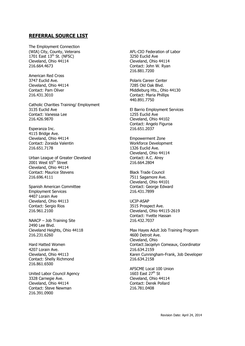### **REFERRAL SOURCE LIST**

The Employment Connection (WIA) City, County, Veterans  $1701$  East  $13<sup>th</sup>$  St. (NFSC) Cleveland, Ohio 44114 216.664.4673

American Red Cross 3747 Euclid Ave. Cleveland, Ohio 44114 Contact: Pam Oliver 216.431.3010

Catholic Charities Training/ Employment 3135 Euclid Ave Contact: Vanessa Lee 216.426.9870

Esperanza Inc. 4115 Bridge Ave. Cleveland, Ohio 44114 Contact: Zoraida Valentin 216.651.7178

Urban League of Greater Cleveland 2001 West 65<sup>th</sup> Street Cleveland, Ohio 44114 Contact: Maurice Stevens 216.696.4111

Spanish American Committee Employment Services 4407 Lorain Ave Cleveland, Ohio 44113 Contact: Sergio Rios 216.961.2100

NAACP – Job Training Site 2490 Lee Blvd. Cleveland Heights, Ohio 44118 216.231.6260

Hard Hatted Women 4207 Lorain Ave. Cleveland, Ohio 44113 Contact: Shelly Richmond 216.861.6500

United Labor Council Agency 3328 Carnegie Ave. Cleveland, Ohio 44114 Contact: Steve Newman 216.391.0900

AFL-CIO Federation of Labor 3250 Euclid Ave Cleveland, Ohio 44114 Contact: John W. Ryan 216.881.7200

Polaris Career Center 7285 Old Oak Blvd. Middleburg Hts., Ohio 44130 Contact: Maria Phillips 440.891.7750

El Barrio Employment Services 1255 Euclid Ave Cleveland, Ohio 44102 Contact: Angelo Figuroa 216.651.2037

Empowerment Zone Workforce Development 1326 Euclid Ave. Cleveland, Ohio 44114 Contact: A.C. Alrey 216.664.2804

Black Trade Council 7511 Sagamore Ave. Cleveland, Ohio 44101 Contact: George Edward 216.431.7899

UCIP-ASAP 3515 Prospect Ave. Cleveland, Ohio 44115-2619 Contact: Yvette Hassan 216.432.7037

Max Hayes Adult Job Training Program 4600 Detroit Ave. Cleveland, Ohio Contact:Jacqelyn Comeaux, Coordinator 216.634.2159 Karen Cunningham-Frank, Job Developer 216.634.2158

AFSCME Local 100 Union 1603 East  $27<sup>th</sup>$  St Cleveland, Ohio 44114 Contact: Derek Pollard 216.781.0408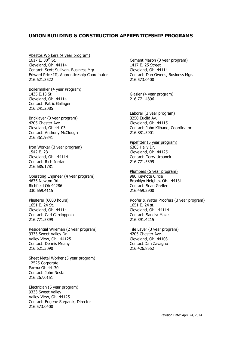### **UNION BUILDING & CONSTRUCTION APPRENTICESHIP PROGRAMS**

Abestos Workers (4 year program)  $1617$  E. 30<sup>th</sup> St. Cleveland, Oh. 44114 Contact: Scott Sullivan, Business Mgr. Edward Price III, Apprenticeship Coordinator 216.621.3522

Boilermaker (4 year Program) 1435 E.13 St Cleveland, Oh. 44114 Contact: Patric Gallager 216.241.2085

Bricklayer (3 year program) 4205 Chester Ave. Cleveland, Oh 44103 Contact: Anthony McClough 216.361.9341

Iron Worker (3 year program) 1542 E. 23 Cleveland, Oh. 44114 Contact: Rich Jordan 216.685.1781

Operating Engineer (4 year program) 4675 Newton Rd. Richfield Oh 44286 330.659.4115

Plasterer (6000 hours) 1651 E. 24 St. Cleveland, Oh. 44114 Contact: Carl Carcioppolo 216.771.5399

Residential Wireman (2 year program) 9333 Sweet Valley Dr. Valley View, Oh. 44125 Contact: Dennis Meany 216.621.3090

Sheet Metal Worker (5 year program) 12525 Corporate Parma Oh 44130 Contact: John Nesta 216.267.0151

Electrician (5 year program) 9333 Sweet Valley Valley View, Oh. 44125 Contact: Eugene Stepanik, Director 216.573.0400

Cement Mason (3 year program) 1417 E. 25 Street Cleveland, Oh. 44114 Contact: Dan Owens, Business Mgr. 216.573.0400

Glazier (4 year program) 216.771.4896

Laborer (3 year program) 3250 Euclid Av. Cleveland, Oh. 44115 Contact: John Kilbane, Coordinator 216.881.5901

Pipefitter (5 year program) 6305 Hally Dr. Cleveland, Oh. 44125 Contact: Terry Urbanek 216.771.5399

Plumbers (5 year program) 980 Keynote Circle Brooklyn Heights, Oh. 44131 Contact: Sean Greller 216.459.2900

Roofer & Water Proofers (3 year program) 1651 E. 24 st. Cleveland, Oh. 44114 Contact: Sandra Mazeli 216.391.4215

Tile Layer (3 year program) 4205 Chester Ave. Cleveland, Oh. 44103 Contact:Dan Zavagno 216.426.8552